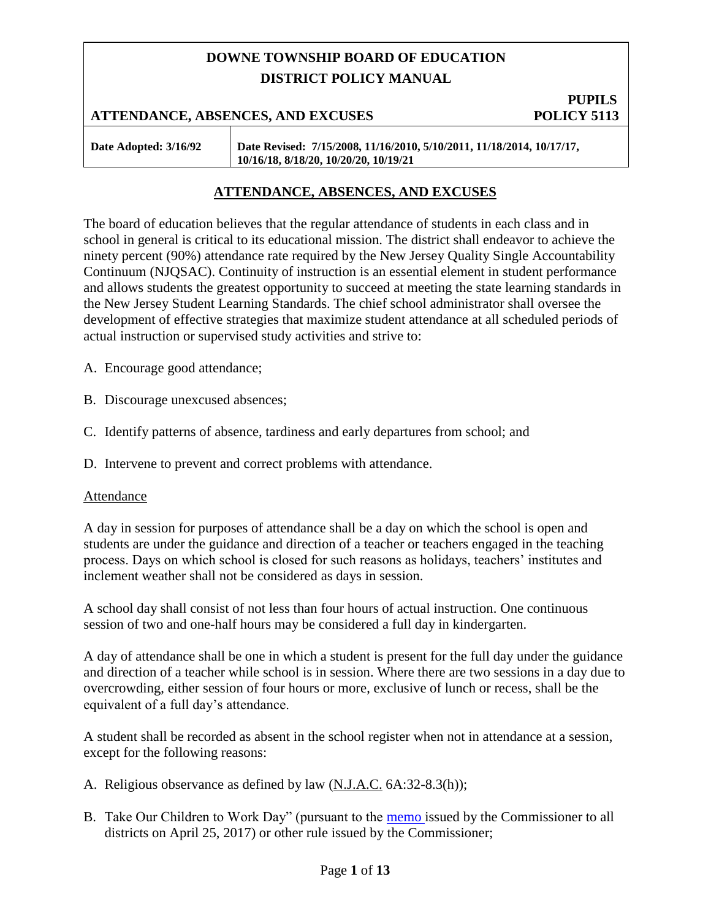# **DOWNE TOWNSHIP BOARD OF EDUCATION DISTRICT POLICY MANUAL**

#### **PUPILS ATTENDANCE, ABSENCES, AND EXCUSES POLICY 5113**

**Date Adopted: 3/16/92 Date Revised: 7/15/2008, 11/16/2010, 5/10/2011, 11/18/2014, 10/17/17, 10/16/18, 8/18/20, 10/20/20, 10/19/21**

### **ATTENDANCE, ABSENCES, AND EXCUSES**

The board of education believes that the regular attendance of students in each class and in school in general is critical to its educational mission. The district shall endeavor to achieve the ninety percent (90%) attendance rate required by the New Jersey Quality Single Accountability Continuum (NJQSAC). Continuity of instruction is an essential element in student performance and allows students the greatest opportunity to succeed at meeting the state learning standards in the New Jersey Student Learning Standards. The chief school administrator shall oversee the development of effective strategies that maximize student attendance at all scheduled periods of actual instruction or supervised study activities and strive to:

A. Encourage good attendance;

B. Discourage unexcused absences;

C. Identify patterns of absence, tardiness and early departures from school; and

D. Intervene to prevent and correct problems with attendance.

#### Attendance

A day in session for purposes of attendance shall be a day on which the school is open and students are under the guidance and direction of a teacher or teachers engaged in the teaching process. Days on which school is closed for such reasons as holidays, teachers' institutes and inclement weather shall not be considered as days in session.

A school day shall consist of not less than four hours of actual instruction. One continuous session of two and one-half hours may be considered a full day in kindergarten.

A day of attendance shall be one in which a student is present for the full day under the guidance and direction of a teacher while school is in session. Where there are two sessions in a day due to overcrowding, either session of four hours or more, exclusive of lunch or recess, shall be the equivalent of a full day's attendance.

A student shall be recorded as absent in the school register when not in attendance at a session, except for the following reasons:

- A. Religious observance as defined by law (N.J.A.C. 6A:32-8.3(h));
- B. Take Our Children to Work Day" (pursuant to the [memo i](https://homeroom5.doe.state.nj.us/broadcasts/2017/APR/25/16343/Instructions%20for%20Recording%20Attendance%20of%20Students%20Who%20Take%20Part%20in%20Take%20Our%20Children%20to%20Work%20Day.pdf)ssued by the Commissioner to all districts on April 25, 2017) or other rule issued by the Commissioner;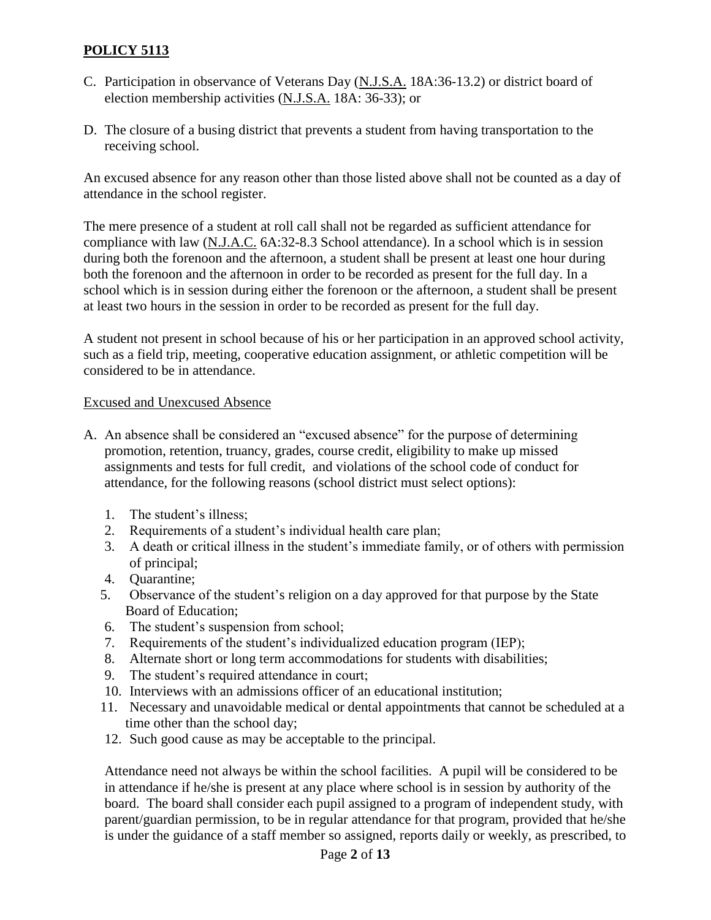- C. Participation in observance of Veterans Day (N.J.S.A. 18A:36-13.2) or district board of election membership activities (N.J.S.A. 18A: 36-33); or
- D. The closure of a busing district that prevents a student from having transportation to the receiving school.

An excused absence for any reason other than those listed above shall not be counted as a day of attendance in the school register.

The mere presence of a student at roll call shall not be regarded as sufficient attendance for compliance with law (N.J.A.C. 6A:32-8.3 School attendance). In a school which is in session during both the forenoon and the afternoon, a student shall be present at least one hour during both the forenoon and the afternoon in order to be recorded as present for the full day. In a school which is in session during either the forenoon or the afternoon, a student shall be present at least two hours in the session in order to be recorded as present for the full day.

A student not present in school because of his or her participation in an approved school activity, such as a field trip, meeting, cooperative education assignment, or athletic competition will be considered to be in attendance.

# Excused and Unexcused Absence

- A. An absence shall be considered an "excused absence" for the purpose of determining promotion, retention, truancy, grades, course credit, eligibility to make up missed assignments and tests for full credit, and violations of the school code of conduct for attendance, for the following reasons (school district must select options):
	- 1. The student's illness;
	- 2. Requirements of a student's individual health care plan;
	- 3. A death or critical illness in the student's immediate family, or of others with permission of principal;
	- 4. Quarantine;
	- 5. Observance of the student's religion on a day approved for that purpose by the State Board of Education;
	- 6. The student's suspension from school;
	- 7. Requirements of the student's individualized education program (IEP);
	- 8. Alternate short or long term accommodations for students with disabilities;
	- 9. The student's required attendance in court;
	- 10. Interviews with an admissions officer of an educational institution;
	- 11. Necessary and unavoidable medical or dental appointments that cannot be scheduled at a time other than the school day;
	- 12. Such good cause as may be acceptable to the principal.

Attendance need not always be within the school facilities. A pupil will be considered to be in attendance if he/she is present at any place where school is in session by authority of the board. The board shall consider each pupil assigned to a program of independent study, with parent/guardian permission, to be in regular attendance for that program, provided that he/she is under the guidance of a staff member so assigned, reports daily or weekly, as prescribed, to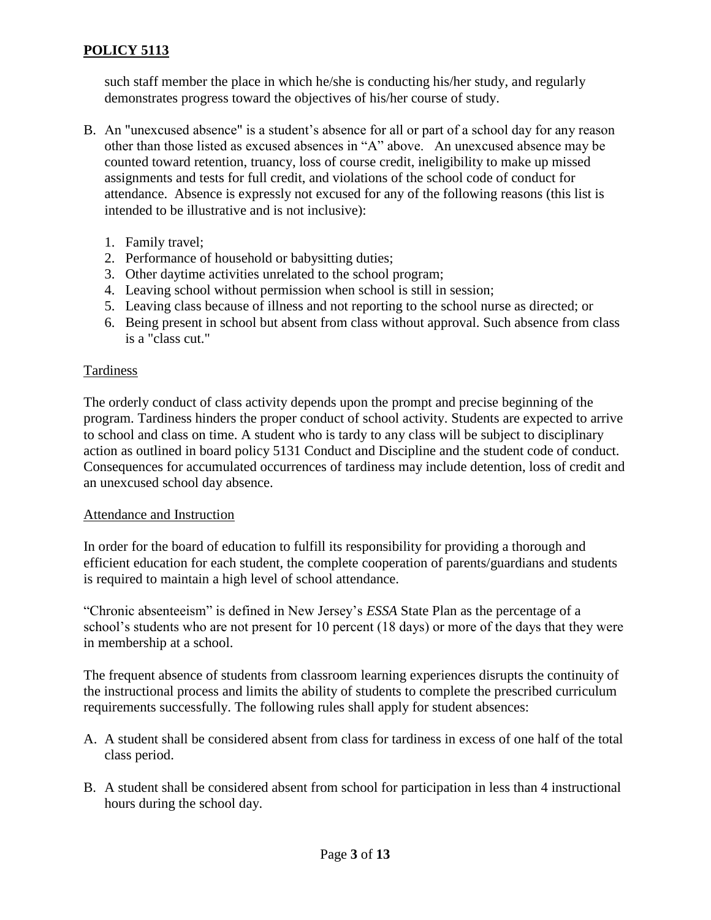such staff member the place in which he/she is conducting his/her study, and regularly demonstrates progress toward the objectives of his/her course of study.

- B. An "unexcused absence" is a student's absence for all or part of a school day for any reason other than those listed as excused absences in "A" above. An unexcused absence may be counted toward retention, truancy, loss of course credit, ineligibility to make up missed assignments and tests for full credit, and violations of the school code of conduct for attendance. Absence is expressly not excused for any of the following reasons (this list is intended to be illustrative and is not inclusive):
	- 1. Family travel;
	- 2. Performance of household or babysitting duties;
	- 3. Other daytime activities unrelated to the school program;
	- 4. Leaving school without permission when school is still in session;
	- 5. Leaving class because of illness and not reporting to the school nurse as directed; or
	- 6. Being present in school but absent from class without approval. Such absence from class is a "class cut."

# Tardiness

The orderly conduct of class activity depends upon the prompt and precise beginning of the program. Tardiness hinders the proper conduct of school activity. Students are expected to arrive to school and class on time. A student who is tardy to any class will be subject to disciplinary action as outlined in board policy 5131 Conduct and Discipline and the student code of conduct. Consequences for accumulated occurrences of tardiness may include detention, loss of credit and an unexcused school day absence.

# Attendance and Instruction

In order for the board of education to fulfill its responsibility for providing a thorough and efficient education for each student, the complete cooperation of parents/guardians and students is required to maintain a high level of school attendance.

"Chronic absenteeism" is defined in New Jersey's *ESSA* State Plan as the percentage of a school's students who are not present for 10 percent (18 days) or more of the days that they were in membership at a school.

The frequent absence of students from classroom learning experiences disrupts the continuity of the instructional process and limits the ability of students to complete the prescribed curriculum requirements successfully. The following rules shall apply for student absences:

- A. A student shall be considered absent from class for tardiness in excess of one half of the total class period.
- B. A student shall be considered absent from school for participation in less than 4 instructional hours during the school day.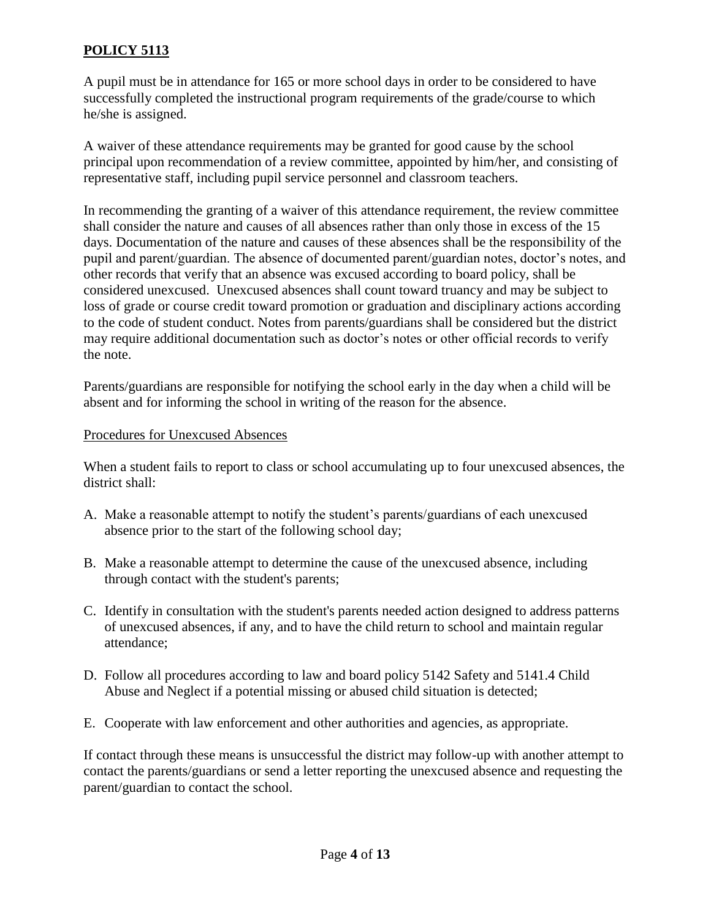A pupil must be in attendance for 165 or more school days in order to be considered to have successfully completed the instructional program requirements of the grade/course to which he/she is assigned.

A waiver of these attendance requirements may be granted for good cause by the school principal upon recommendation of a review committee, appointed by him/her, and consisting of representative staff, including pupil service personnel and classroom teachers.

In recommending the granting of a waiver of this attendance requirement, the review committee shall consider the nature and causes of all absences rather than only those in excess of the 15 days. Documentation of the nature and causes of these absences shall be the responsibility of the pupil and parent/guardian. The absence of documented parent/guardian notes, doctor's notes, and other records that verify that an absence was excused according to board policy, shall be considered unexcused. Unexcused absences shall count toward truancy and may be subject to loss of grade or course credit toward promotion or graduation and disciplinary actions according to the code of student conduct. Notes from parents/guardians shall be considered but the district may require additional documentation such as doctor's notes or other official records to verify the note.

Parents/guardians are responsible for notifying the school early in the day when a child will be absent and for informing the school in writing of the reason for the absence.

#### Procedures for Unexcused Absences

When a student fails to report to class or school accumulating up to four unexcused absences, the district shall:

- A. Make a reasonable attempt to notify the student's parents/guardians of each unexcused absence prior to the start of the following school day;
- B. Make a reasonable attempt to determine the cause of the unexcused absence, including through contact with the student's parents;
- C. Identify in consultation with the student's parents needed action designed to address patterns of unexcused absences, if any, and to have the child return to school and maintain regular attendance;
- D. Follow all procedures according to law and board policy 5142 Safety and 5141.4 Child Abuse and Neglect if a potential missing or abused child situation is detected;
- E. Cooperate with law enforcement and other authorities and agencies, as appropriate.

If contact through these means is unsuccessful the district may follow-up with another attempt to contact the parents/guardians or send a letter reporting the unexcused absence and requesting the parent/guardian to contact the school.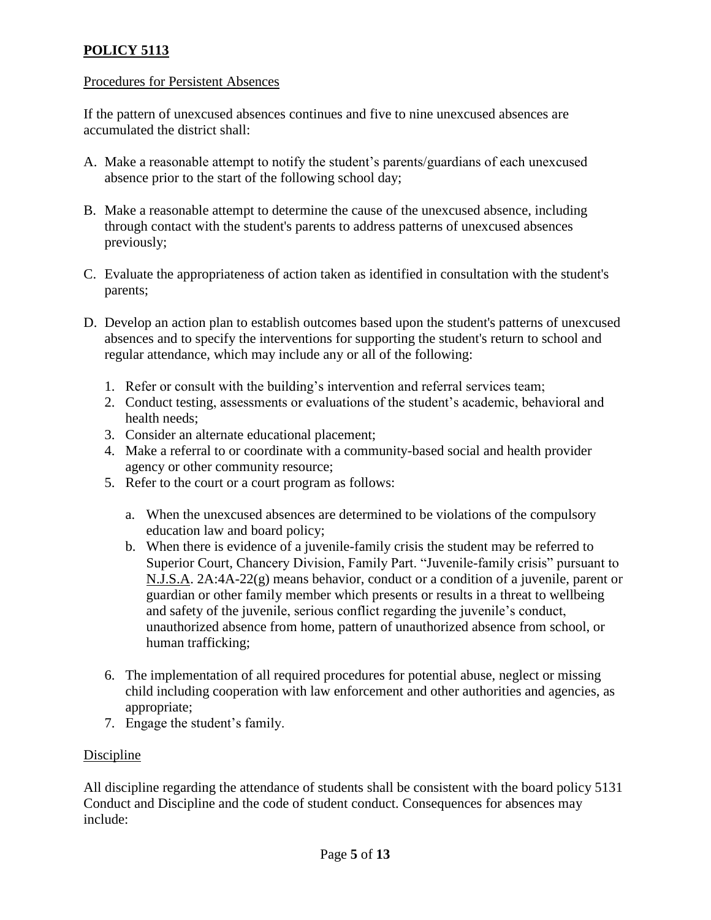### Procedures for Persistent Absences

If the pattern of unexcused absences continues and five to nine unexcused absences are accumulated the district shall:

- A. Make a reasonable attempt to notify the student's parents/guardians of each unexcused absence prior to the start of the following school day;
- B. Make a reasonable attempt to determine the cause of the unexcused absence, including through contact with the student's parents to address patterns of unexcused absences previously;
- C. Evaluate the appropriateness of action taken as identified in consultation with the student's parents;
- D. Develop an action plan to establish outcomes based upon the student's patterns of unexcused absences and to specify the interventions for supporting the student's return to school and regular attendance, which may include any or all of the following:
	- 1. Refer or consult with the building's intervention and referral services team;
	- 2. Conduct testing, assessments or evaluations of the student's academic, behavioral and health needs;
	- 3. Consider an alternate educational placement;
	- 4. Make a referral to or coordinate with a community-based social and health provider agency or other community resource;
	- 5. Refer to the court or a court program as follows:
		- a. When the unexcused absences are determined to be violations of the compulsory education law and board policy;
		- b. When there is evidence of a juvenile-family crisis the student may be referred to Superior Court, Chancery Division, Family Part. "Juvenile-family crisis" pursuant to N.J.S.A. 2A:4A-22(g) means behavior, conduct or a condition of a juvenile, parent or guardian or other family member which presents or results in a threat to wellbeing and safety of the juvenile, serious conflict regarding the juvenile's conduct, unauthorized absence from home, pattern of unauthorized absence from school, or human trafficking;
	- 6. The implementation of all required procedures for potential abuse, neglect or missing child including cooperation with law enforcement and other authorities and agencies, as appropriate;
	- 7. Engage the student's family.

# Discipline

All discipline regarding the attendance of students shall be consistent with the board policy 5131 Conduct and Discipline and the code of student conduct. Consequences for absences may include: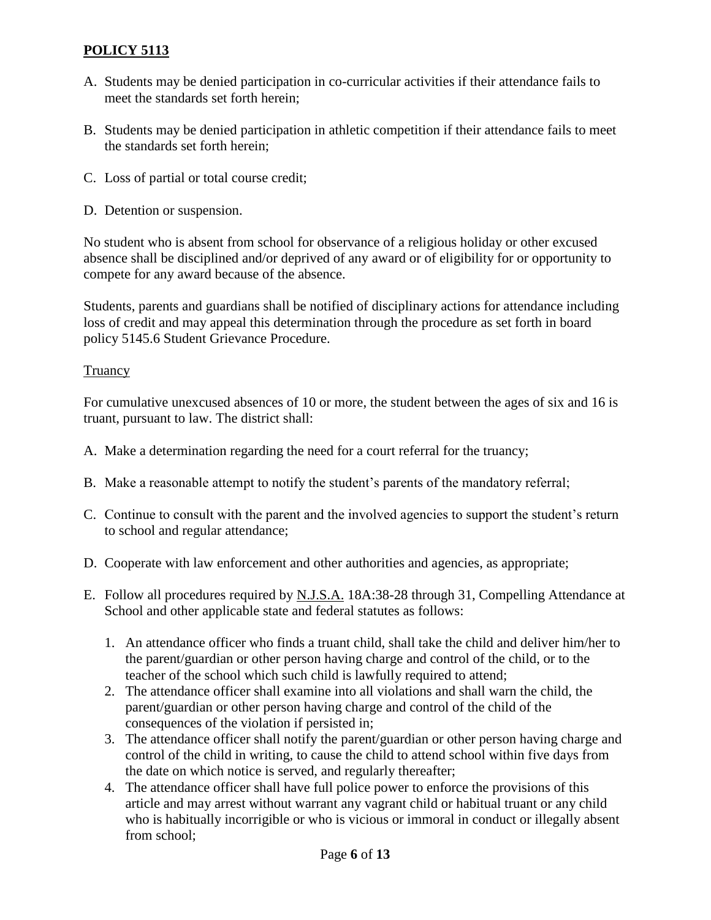- A. Students may be denied participation in co-curricular activities if their attendance fails to meet the standards set forth herein;
- B. Students may be denied participation in athletic competition if their attendance fails to meet the standards set forth herein;
- C. Loss of partial or total course credit;
- D. Detention or suspension.

No student who is absent from school for observance of a religious holiday or other excused absence shall be disciplined and/or deprived of any award or of eligibility for or opportunity to compete for any award because of the absence.

Students, parents and guardians shall be notified of disciplinary actions for attendance including loss of credit and may appeal this determination through the procedure as set forth in board policy 5145.6 Student Grievance Procedure.

# Truancy

For cumulative unexcused absences of 10 or more, the student between the ages of six and 16 is truant, pursuant to law. The district shall:

- A. Make a determination regarding the need for a court referral for the truancy;
- B. Make a reasonable attempt to notify the student's parents of the mandatory referral;
- C. Continue to consult with the parent and the involved agencies to support the student's return to school and regular attendance;
- D. Cooperate with law enforcement and other authorities and agencies, as appropriate;
- E. Follow all procedures required by N.J.S.A. 18A:38-28 through 31, Compelling Attendance at School and other applicable state and federal statutes as follows:
	- 1. An attendance officer who finds a truant child, shall take the child and deliver him/her to the parent/guardian or other person having charge and control of the child, or to the teacher of the school which such child is lawfully required to attend;
	- 2. The attendance officer shall examine into all violations and shall warn the child, the parent/guardian or other person having charge and control of the child of the consequences of the violation if persisted in;
	- 3. The attendance officer shall notify the parent/guardian or other person having charge and control of the child in writing, to cause the child to attend school within five days from the date on which notice is served, and regularly thereafter;
	- 4. The attendance officer shall have full police power to enforce the provisions of this article and may arrest without warrant any vagrant child or habitual truant or any child who is habitually incorrigible or who is vicious or immoral in conduct or illegally absent from school;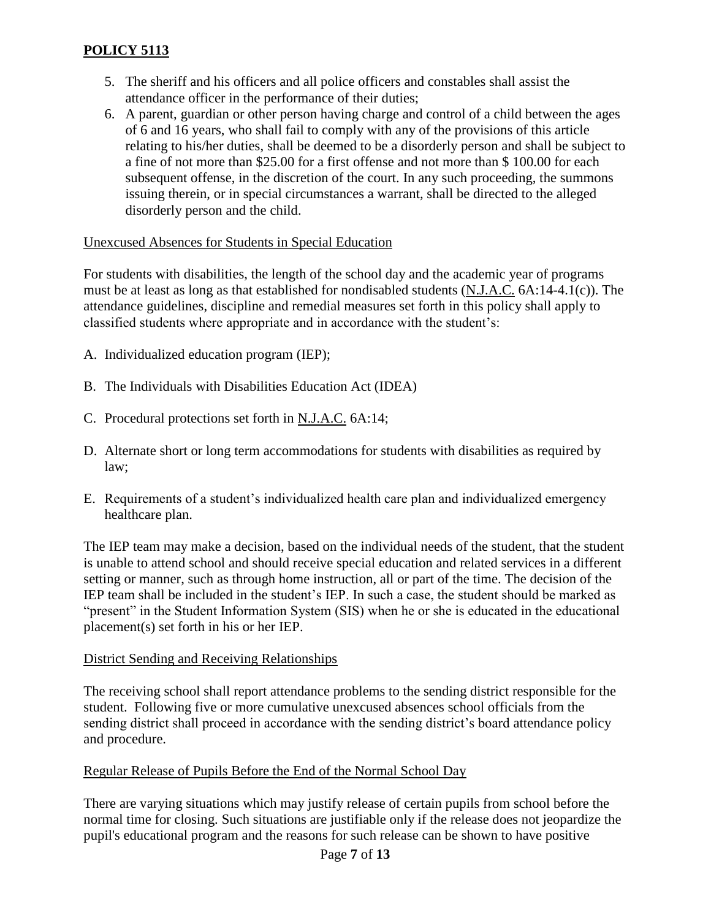- 5. The sheriff and his officers and all police officers and constables shall assist the attendance officer in the performance of their duties;
- 6. A parent, guardian or other person having charge and control of a child between the ages of 6 and 16 years, who shall fail to comply with any of the provisions of this article relating to his/her duties, shall be deemed to be a disorderly person and shall be subject to a fine of not more than \$25.00 for a first offense and not more than \$ 100.00 for each subsequent offense, in the discretion of the court. In any such proceeding, the summons issuing therein, or in special circumstances a warrant, shall be directed to the alleged disorderly person and the child.

### Unexcused Absences for Students in Special Education

For students with disabilities, the length of the school day and the academic year of programs must be at least as long as that established for nondisabled students (N.J.A.C. 6A:14-4.1(c)). The attendance guidelines, discipline and remedial measures set forth in this policy shall apply to classified students where appropriate and in accordance with the student's:

- A. Individualized education program (IEP);
- B. The Individuals with Disabilities Education Act (IDEA)
- C. Procedural protections set forth in N.J.A.C. 6A:14;
- D. Alternate short or long term accommodations for students with disabilities as required by law;
- E. Requirements of a student's individualized health care plan and individualized emergency healthcare plan.

The IEP team may make a decision, based on the individual needs of the student, that the student is unable to attend school and should receive special education and related services in a different setting or manner, such as through home instruction, all or part of the time. The decision of the IEP team shall be included in the student's IEP. In such a case, the student should be marked as "present" in the Student Information System (SIS) when he or she is educated in the educational placement(s) set forth in his or her IEP.

# District Sending and Receiving Relationships

The receiving school shall report attendance problems to the sending district responsible for the student. Following five or more cumulative unexcused absences school officials from the sending district shall proceed in accordance with the sending district's board attendance policy and procedure.

# Regular Release of Pupils Before the End of the Normal School Day

There are varying situations which may justify release of certain pupils from school before the normal time for closing. Such situations are justifiable only if the release does not jeopardize the pupil's educational program and the reasons for such release can be shown to have positive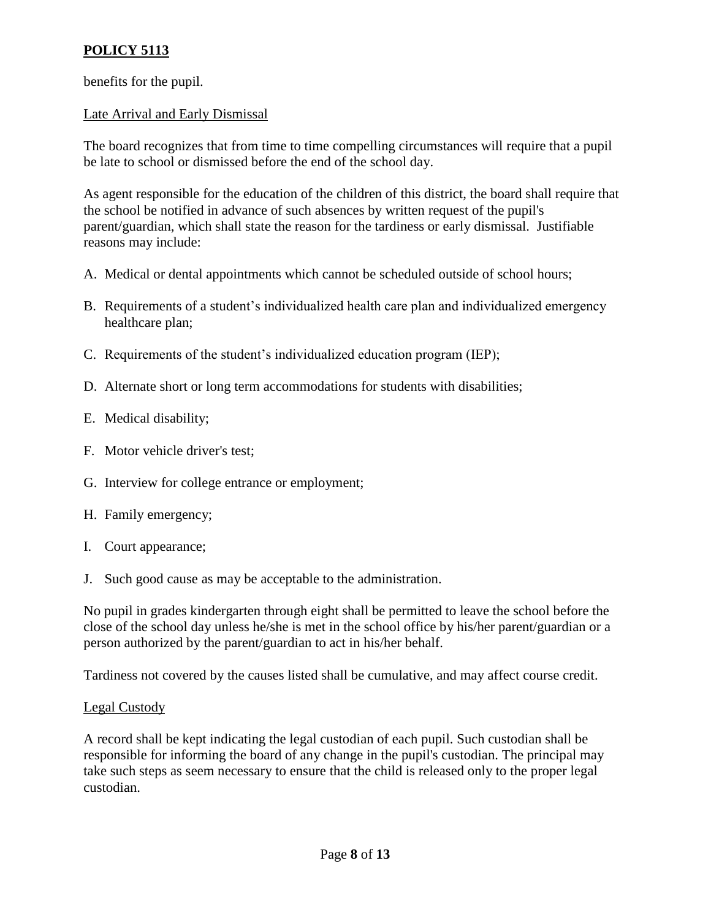benefits for the pupil.

# Late Arrival and Early Dismissal

The board recognizes that from time to time compelling circumstances will require that a pupil be late to school or dismissed before the end of the school day.

As agent responsible for the education of the children of this district, the board shall require that the school be notified in advance of such absences by written request of the pupil's parent/guardian, which shall state the reason for the tardiness or early dismissal. Justifiable reasons may include:

- A. Medical or dental appointments which cannot be scheduled outside of school hours;
- B. Requirements of a student's individualized health care plan and individualized emergency healthcare plan;
- C. Requirements of the student's individualized education program (IEP);
- D. Alternate short or long term accommodations for students with disabilities;
- E. Medical disability;
- F. Motor vehicle driver's test;
- G. Interview for college entrance or employment;
- H. Family emergency;
- I. Court appearance;
- J. Such good cause as may be acceptable to the administration.

No pupil in grades kindergarten through eight shall be permitted to leave the school before the close of the school day unless he/she is met in the school office by his/her parent/guardian or a person authorized by the parent/guardian to act in his/her behalf.

Tardiness not covered by the causes listed shall be cumulative, and may affect course credit.

# Legal Custody

A record shall be kept indicating the legal custodian of each pupil. Such custodian shall be responsible for informing the board of any change in the pupil's custodian. The principal may take such steps as seem necessary to ensure that the child is released only to the proper legal custodian.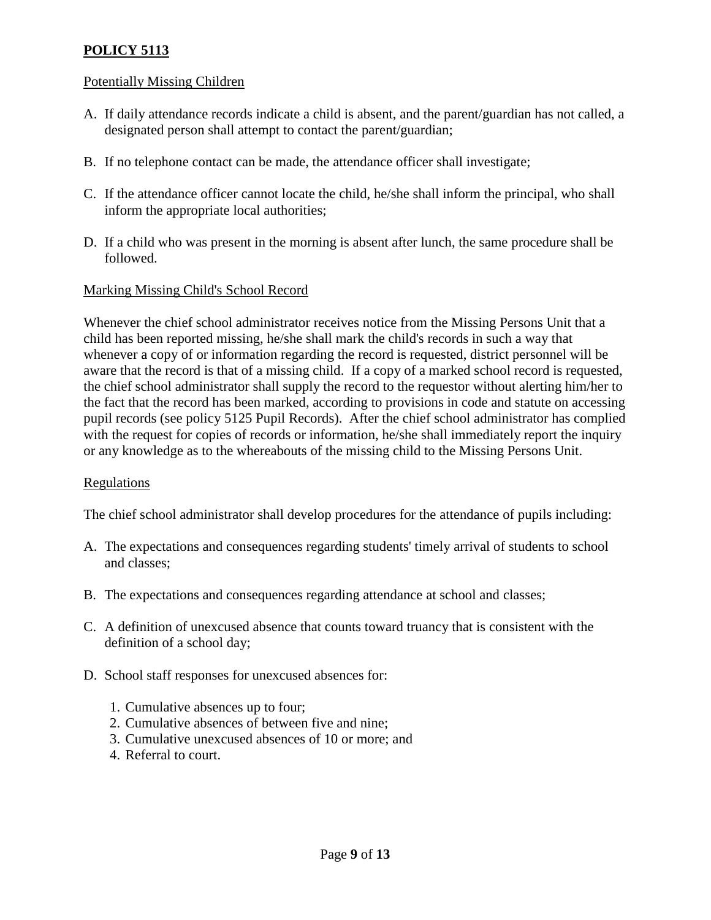### Potentially Missing Children

- A. If daily attendance records indicate a child is absent, and the parent/guardian has not called, a designated person shall attempt to contact the parent/guardian;
- B. If no telephone contact can be made, the attendance officer shall investigate;
- C. If the attendance officer cannot locate the child, he/she shall inform the principal, who shall inform the appropriate local authorities;
- D. If a child who was present in the morning is absent after lunch, the same procedure shall be followed.

### Marking Missing Child's School Record

Whenever the chief school administrator receives notice from the Missing Persons Unit that a child has been reported missing, he/she shall mark the child's records in such a way that whenever a copy of or information regarding the record is requested, district personnel will be aware that the record is that of a missing child. If a copy of a marked school record is requested, the chief school administrator shall supply the record to the requestor without alerting him/her to the fact that the record has been marked, according to provisions in code and statute on accessing pupil records (see policy 5125 Pupil Records). After the chief school administrator has complied with the request for copies of records or information, he/she shall immediately report the inquiry or any knowledge as to the whereabouts of the missing child to the Missing Persons Unit.

#### Regulations

The chief school administrator shall develop procedures for the attendance of pupils including:

- A. The expectations and consequences regarding students' timely arrival of students to school and classes;
- B. The expectations and consequences regarding attendance at school and classes;
- C. A definition of unexcused absence that counts toward truancy that is consistent with the definition of a school day;
- D. School staff responses for unexcused absences for:
	- 1. Cumulative absences up to four;
	- 2. Cumulative absences of between five and nine;
	- 3. Cumulative unexcused absences of 10 or more; and
	- 4. Referral to court.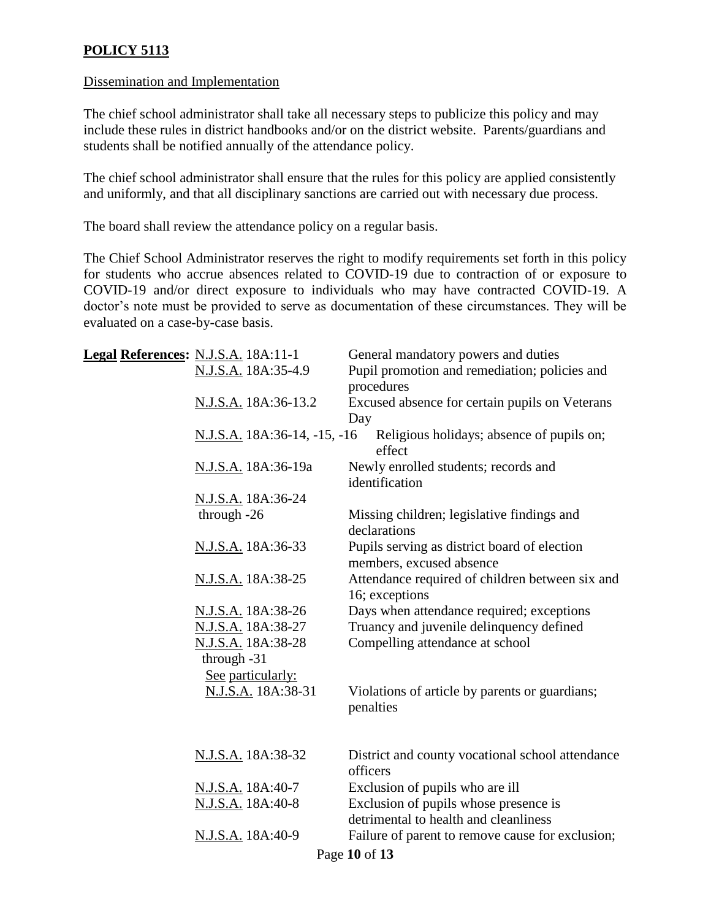#### Dissemination and Implementation

The chief school administrator shall take all necessary steps to publicize this policy and may include these rules in district handbooks and/or on the district website. Parents/guardians and students shall be notified annually of the attendance policy.

The chief school administrator shall ensure that the rules for this policy are applied consistently and uniformly, and that all disciplinary sanctions are carried out with necessary due process.

The board shall review the attendance policy on a regular basis.

The Chief School Administrator reserves the right to modify requirements set forth in this policy for students who accrue absences related to COVID-19 due to contraction of or exposure to COVID-19 and/or direct exposure to individuals who may have contracted COVID-19. A doctor's note must be provided to serve as documentation of these circumstances. They will be evaluated on a case-by-case basis.

|               | Legal References: N.J.S.A. 18A:11-1                    | General mandatory powers and duties                                            |
|---------------|--------------------------------------------------------|--------------------------------------------------------------------------------|
|               | N.J.S.A. 18A:35-4.9                                    | Pupil promotion and remediation; policies and<br>procedures                    |
|               | N.J.S.A. 18A:36-13.2                                   | Excused absence for certain pupils on Veterans<br>Day                          |
|               | N.J.S.A. 18A:36-14, -15, -16                           | Religious holidays; absence of pupils on;<br>effect                            |
|               | N.J.S.A. 18A:36-19a                                    | Newly enrolled students; records and<br>identification                         |
|               | N.J.S.A. 18A:36-24                                     |                                                                                |
|               | through -26                                            | Missing children; legislative findings and<br>declarations                     |
|               | N.J.S.A. 18A:36-33                                     | Pupils serving as district board of election<br>members, excused absence       |
|               | N.J.S.A. 18A:38-25                                     | Attendance required of children between six and<br>16; exceptions              |
|               | N.J.S.A. 18A:38-26                                     | Days when attendance required; exceptions                                      |
|               | N.J.S.A. 18A:38-27                                     | Truancy and juvenile delinquency defined                                       |
|               | N.J.S.A. 18A:38-28<br>through -31<br>See particularly: | Compelling attendance at school                                                |
|               | N.J.S.A. 18A:38-31                                     | Violations of article by parents or guardians;<br>penalties                    |
|               | N.J.S.A. 18A:38-32                                     | District and county vocational school attendance                               |
|               |                                                        | officers                                                                       |
|               | N.J.S.A. 18A:40-7                                      | Exclusion of pupils who are ill                                                |
|               | N.J.S.A. 18A:40-8                                      | Exclusion of pupils whose presence is<br>detrimental to health and cleanliness |
|               | N.J.S.A. 18A:40-9                                      | Failure of parent to remove cause for exclusion;                               |
| Page 10 of 13 |                                                        |                                                                                |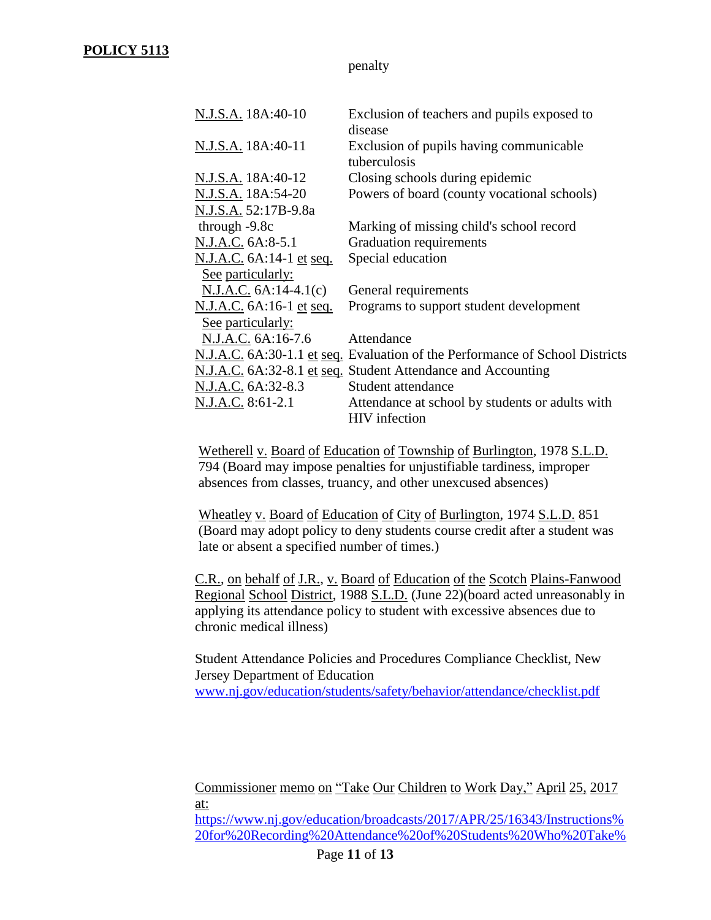penalty

| N.J.S.A. 18A:40-10                     | Exclusion of teachers and pupils exposed to<br>disease                       |
|----------------------------------------|------------------------------------------------------------------------------|
| N.J.S.A. 18A:40-11                     | Exclusion of pupils having communicable<br>tuberculosis                      |
| N.J.S.A. 18A:40-12                     | Closing schools during epidemic                                              |
| N.J.S.A. 18A:54-20                     | Powers of board (county vocational schools)                                  |
| N.J.S.A. 52:17B-9.8a                   |                                                                              |
| through $-9.8c$                        | Marking of missing child's school record                                     |
| N.J.A.C. 6A:8-5.1                      | Graduation requirements                                                      |
| N.J.A.C. 6A:14-1 et seq.               | Special education                                                            |
| See particularly:                      |                                                                              |
| $N.J.A.C. 6A:14-4.1(c)$                | General requirements                                                         |
| <u>N.J.A.C.</u> 6A:16-1 <u>et seq.</u> | Programs to support student development                                      |
| See particularly:                      |                                                                              |
| N.J.A.C. 6A:16-7.6                     | Attendance                                                                   |
|                                        | N.J.A.C. 6A:30-1.1 et seq. Evaluation of the Performance of School Districts |
|                                        | N.J.A.C. 6A:32-8.1 et seq. Student Attendance and Accounting                 |
| N.J.A.C. 6A:32-8.3                     | Student attendance                                                           |
| N.J.A.C. 8:61-2.1                      | Attendance at school by students or adults with                              |
|                                        | <b>HIV</b> infection                                                         |

Wetherell v. Board of Education of Township of Burlington, 1978 S.L.D. 794 (Board may impose penalties for unjustifiable tardiness, improper absences from classes, truancy, and other unexcused absences)

Wheatley v. Board of Education of City of Burlington, 1974 S.L.D. 851 (Board may adopt policy to deny students course credit after a student was late or absent a specified number of times.)

C.R., on behalf of J.R., v. Board of Education of the Scotch Plains-Fanwood Regional School District, 1988 S.L.D. (June 22)(board acted unreasonably in applying its attendance policy to student with excessive absences due to chronic medical illness)

Student Attendance Policies and Procedures Compliance Checklist, New Jersey Department of Education [www.nj.gov/education/students/safety/behavior/attendance/checklist.pdf](http://www.nj.gov/education/students/safety/behavior/attendance/checklist.pdf)

Commissioner memo on "Take Our Children to Work Day," April 25, 2017 at:

[https://www.nj.gov/education/broadcasts/2017/APR/25/16343/Instructions%](https://www.nj.gov/education/broadcasts/2017/APR/25/16343/Instructions%20for%20Recording%20Attendance%20of%20Students%20Who%20Take%20Part%20in%20Take%20Our%20Children%20to%20Work%20Day.pdf) [20for%20Recording%20Attendance%20of%20Students%20Who%20Take%](https://www.nj.gov/education/broadcasts/2017/APR/25/16343/Instructions%20for%20Recording%20Attendance%20of%20Students%20Who%20Take%20Part%20in%20Take%20Our%20Children%20to%20Work%20Day.pdf)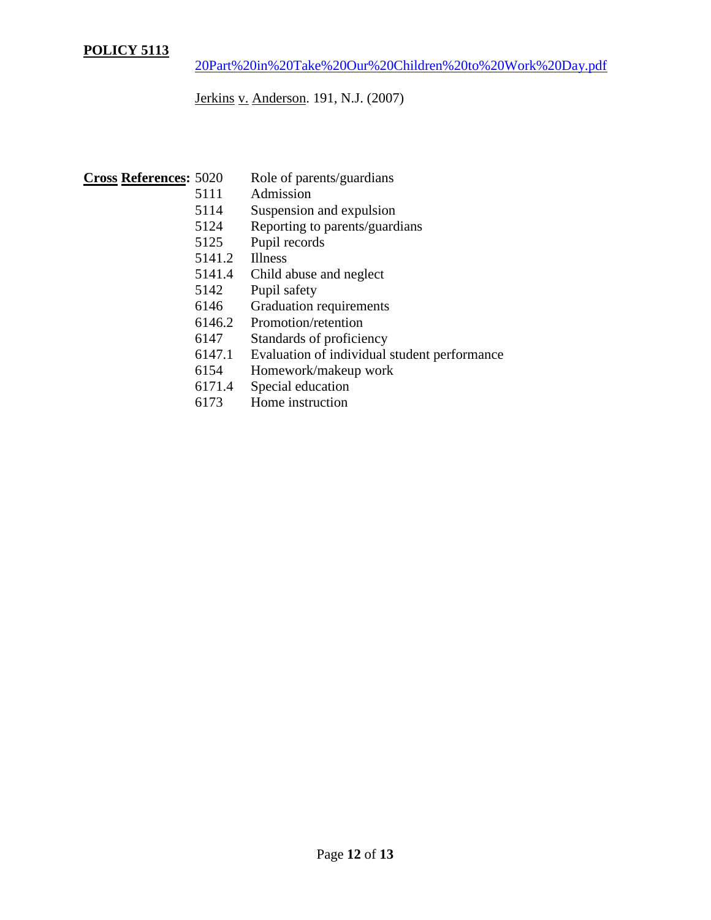Jerkins v. Anderson. 191, N.J. (2007)

# **Cross References:** 5020 Role of parents/guardians

- 5111 Admission
- 5114 Suspension and expulsion
- 5124 Reporting to parents/guardians
- 5125 Pupil records
- 5141.2 Illness
- 5141.4 Child abuse and neglect
- 5142 Pupil safety
- 6146 Graduation requirements
- 6146.2 Promotion/retention
- 6147 Standards of proficiency
- 6147.1 Evaluation of individual student performance
- 6154 Homework/makeup work
- 6171.4 Special education
- 6173 Home instruction